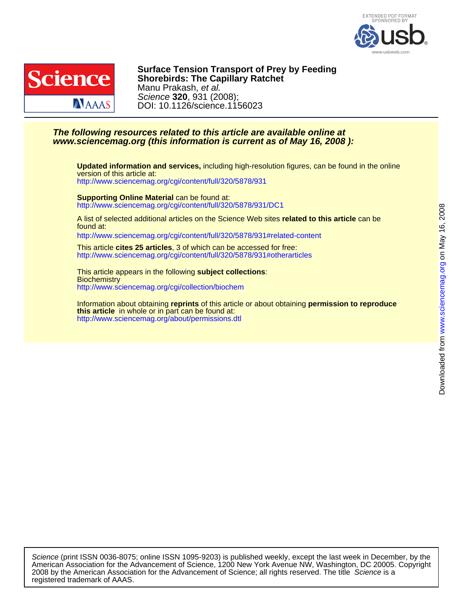



DOI: 10.1126/science.1156023 Science **320**, 931 (2008); Manu Prakash, et al. **Shorebirds: The Capillary Ratchet Surface Tension Transport of Prey by Feeding**

## **www.sciencemag.org (this information is current as of May 16, 2008 ): The following resources related to this article are available online at**

<http://www.sciencemag.org/cgi/content/full/320/5878/931> version of this article at: **Updated information and services,** including high-resolution figures, can be found in the online

<http://www.sciencemag.org/cgi/content/full/320/5878/931/DC1> **Supporting Online Material** can be found at:

found at: A list of selected additional articles on the Science Web sites **related to this article** can be

<http://www.sciencemag.org/cgi/content/full/320/5878/931#related-content>

<http://www.sciencemag.org/cgi/content/full/320/5878/931#otherarticles> This article **cites 25 articles**, 3 of which can be accessed for free:

<http://www.sciencemag.org/cgi/collection/biochem> **Biochemistry** This article appears in the following **subject collections**:

<http://www.sciencemag.org/about/permissions.dtl> **this article** in whole or in part can be found at: Information about obtaining **reprints** of this article or about obtaining **permission to reproduce**

registered trademark of AAAS. 2008 by the American Association for the Advancement of Science; all rights reserved. The title Science is a American Association for the Advancement of Science, 1200 New York Avenue NW, Washington, DC 20005. Copyright Science (print ISSN 0036-8075; online ISSN 1095-9203) is published weekly, except the last week in December, by the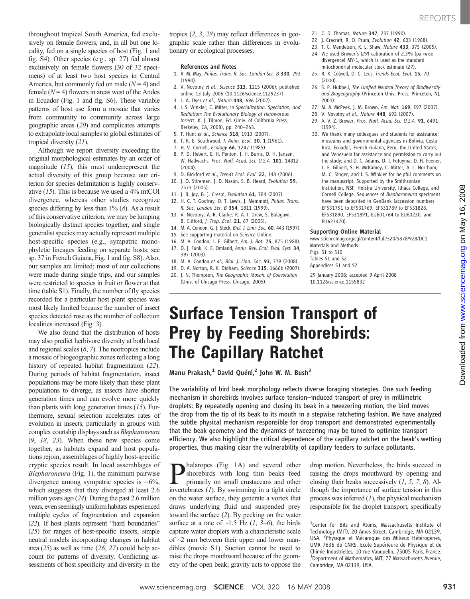### References and Notes

- 1. R. M. May, Philos. Trans. R. Soc. London Ser. B 330, 293 (1990).
- 2. V. Novotny et al., Science 313, 1115 (2006); published online 13 July 2006 (10.1126/science.1129237).
- 3. L. A. Dyer et al., Nature 448, 696 (2007).
- 4. I. S. Winkler, C. Mitter, in Specialization, Speciation, and Radiation: The Evolutionary Biology of Herbivorous Insects, K. J. Tilmon, Ed. (Univ. of California Press, Berkeley, CA, 2008), pp. 240–263.
- 5. T. Hunt et al., Science 318, 1913 (2007).
- 6. T. R. E. Southwood, J. Anim. Ecol. 30, 1 (1961).
- 7. H. V. Cornell, Ecology 66, 1247 (1985).
- 8. P. D. Hebert, E. H. Penton, J. H. Burns, D. H. Janzen, W. Hallwachs, Proc. Natl. Acad. Sci. U.S.A. 101, 14812 (2004).
- 9. D. Bickford et al., Trends Ecol. Evol. 22, 148 (2006). 10. J. O. Stireman, J. D. Nason, S. B. Heard, Evolution 59,
- 2573 (2005).
- 11. J. B. Joy, B. J. Crespi, Evolution 61, 784 (2007).
- 12. H. C. T. Godfray, O. T. Lewis, J. Memmott, Philos. Trans. R. Soc. London Ser. B 354, 1811 (1999).
- 13. V. Novotny, A. R. Clarke, R. A. I. Drew, S. Balagawi, B. Clifford, J. Trop. Ecol. 21, 67 (2005).
- 14. M. A. Condon, G. I. Steck, Biol. I. Linn, Soc. 60, 443 (1997).
- 15. See supporting material on Science Online.
- 16. M. A. Condon, L. E. Gilbert, Am. J. Bot. 75, 875 (1988).
- 17. D. J. Funk, K. E. Omland, Annu. Rev. Ecol. Evol. Syst. 34, 397 (2003).
- 18. M. A. Condon et al., Biol. J. Linn. Soc. 93, 779 (2008).
- 19. D. A. Norton, R. K. Didham, Science 315, 1666b (2007).
- 20. J. N. Thompson, The Geographic Mosaic of Coevolution (Univ. of Chicago Press, Chicago, 2005).
- 21. C. D. Thomas, Nature 347, 237 (1990).
- 22. J. Cracraft, R. O. Prum, Evolution 42, 603 (1988).
- 23. T. C. Mendelson, K. L. Shaw, Nature 433, 375 (2005).
- 24. We used Brower's (29) calibration of 2.3% (pairwise divergence) MY-1, which is used as the standard mitochondrial molecular clock estimate (27).
- 25. R. K. Colwell, D. C. Lees, Trends Ecol. Evol. 15, 70 (2000).
- 26. S. P. Hubbell, The Unified Neutral Theory of Biodiversity and Biogeography (Princeton Univ. Press, Princeton, NJ, 2001).
- 27. M. A. McPeek, J. M. Brown, Am. Nat. 169, E97 (2007).
- 28. V. Novotny et al., Nature 448, 692 (2007).
- 29. A. V. Z. Brower, Proc. Natl. Acad. Sci. U.S.A. 91, 6491 (1994).
- 30. We thank many colleagues and students for assistance; museums and governmental agencies in Bolivia, Costa Rica, Ecuador, French Guiana, Peru, the United States, and Venezuela for assistance and permission to carry out the study; and D. C. Adams, D. J. Futuyma, D. H. Feener, L. E. Gilbert, S. H. McKamey, C. Mitter, A. L. Norrbom, M. C. Singer, and I. S. Winkler for helpful comments on the manuscript. Supported by the Smithsonian Institution, NSF, Hofstra University, Ithaca College, and Cornell College. Sequences of Blepharoneura specimens have been deposited in GenBank (accession numbers EF531751 to EF531769, EF531789 to EF531828, EF531890, EF531891, EU601764 to EU60230, and EU623470).

### Supporting Online Material

www.sciencemag.org/cgi/content/full/320/5878/928/DC1 Materials and Methods

Figs. S1 to S10 Tables S1 and S2

Appendices S1 and S2

29 January 2008; accepted 9 April 2008 10.1126/science.1155832

# Surface Tension Transport of Prey by Feeding Shorebirds: The Capillary Ratchet

Manu Prakash,<sup>1</sup> David Quéré,<sup>2</sup> John W. M. Bush<sup>3</sup>

The variability of bird beak morphology reflects diverse foraging strategies. One such feeding mechanism in shorebirds involves surface tension–induced transport of prey in millimetric droplets: By repeatedly opening and closing its beak in a tweezering motion, the bird moves the drop from the tip of its beak to its mouth in a stepwise ratcheting fashion. We have analyzed the subtle physical mechanism responsible for drop transport and demonstrated experimentally that the beak geometry and the dynamics of tweezering may be tuned to optimize transport efficiency. We also highlight the critical dependence of the capillary ratchet on the beak's wetting properties, thus making clear the vulnerability of capillary feeders to surface pollutants.

halaropes (Fig. 1A) and several other shorebirds with long thin beaks feed primarily on small crustaceans and other invertebrates  $(1)$ . By swimming in a tight circle on the water surface, they generate a vortex that draws underlying fluid and suspended prey toward the surface (2). By pecking on the water surface at a rate of  $\sim$ 1.5 Hz (1, 3–6), the birds capture water droplets with a characteristic scale of  $\sim$ 2 mm between their upper and lower mandibles (movie S1). Suction cannot be used to raise the drops mouthward because of the geometry of the open beak; gravity acts to oppose the

drop motion. Nevertheless, the birds succeed in raising the drops mouthward by opening and closing their beaks successively  $(1, 5, 7, 8)$ . Although the importance of surface tension in this process was inferred  $(1)$ , the physical mechanism responsible for the droplet transport, specifically

throughout tropical South America, fed exclusively on female flowers, and, in all but one locality, fed on a single species of host (Fig. 1 and fig. S4). Other species (e.g., sp. 27) fed almost exclusively on female flowers (30 of 32 specimens) of at least two host species in Central America, but commonly fed on male  $(N = 4)$  and female  $(N=4)$  flowers in areas west of the Andes in Ecuador (Fig. 1 and fig. S6). These variable patterns of host use form a mosaic that varies from community to community across large geographic areas (20) and complicates attempts to extrapolate local samples to global estimates of tropical diversity (21).

Although we report diversity exceeding the original morphological estimates by an order of magnitude  $(15)$ , this must underrepresent the actual diversity of this group because our criterion for species delimitation is highly conservative (15). This is because we used a 4% mtCOI divergence, whereas other studies recognize species differing by less than  $1\%$  (8). As a result of this conservative criterion, we may be lumping biologically distinct species together, and single generalist species may actually represent multiple host-specific species (e.g., sympatric monophyletic lineages feeding on separate hosts; see sp. 37 in French Guiana, Fig. 1 and fig. S8). Also, our samples are limited; most of our collections were made during single trips, and our samples were restricted to species in fruit or flower at that time (table S1). Finally, the number of fly species recorded for a particular host plant species was most likely limited because the number of insect species detected rose as the number of collection localities increased (Fig. 3).

We also found that the distribution of hosts may also predict herbivore diversity at both local and regional scales (6, 7). The neotropics include a mosaic of biogeographic zones reflecting a long history of repeated habitat fragmentation (22). During periods of habitat fragmentation, insect populations may be more likely than these plant populations to diverge, as insects have shorter generation times and can evolve more quickly than plants with long generation times  $(15)$ . Furthermore, sexual selection accelerates rates of evolution in insects, particularly in groups with complex courtship displays such as Blepharoneura (9, 18, 23). When these new species come together, as habitats expand and host populations rejoin, assemblages of highly host-specific cryptic species result. In local assemblages of Blepharoneura (Fig. 1), the minimum pairwise divergence among sympatric species is  $~6\%,$ which suggests that they diverged at least 2.6 million years ago (24). During the past 2.6 million years, even seemingly uniform habitats experienced multiple cycles of fragmentation and expansion (22). If host plants represent "hard boundaries" (25) for ranges of host-specific insects, simple neutral models incorporating changes in habitat area (25) as well as time (26, 27) could help account for patterns of diversity. Conflicting assessments of host specificity and diversity in the

www.sciencemag.orgon May 16, 2008

Downloaded from www.sciencemag.org on May 16, 2008

Downloaded from

<sup>&</sup>lt;sup>1</sup>Center for Bits and Atoms, Massachusetts Institute of Technology (MIT), 20 Ames Street, Cambridge, MA 02139, USA. <sup>2</sup>Physique et Mécanique des Milieux Hétérogènes, UMR 7636 du CNRS, Ecole Supérieure de Physique et de Chimie Industrielles, 10 rue Vauquelin, 75005 Paris, France. <sup>3</sup> Department of Mathematics, MIT, 77 Massachusetts Avenue, Cambridge, MA 02139, USA.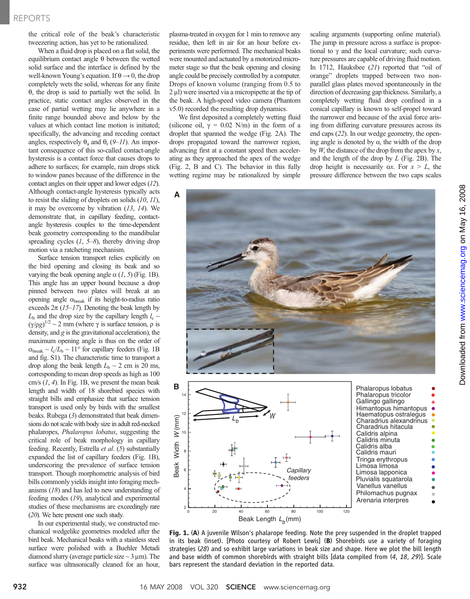the critical role of the beak's characteristic tweezering action, has yet to be rationalized.

When a fluid drop is placed on a flat solid, the equilibrium contact angle  $\theta$  between the wetted solid surface and the interface is defined by the well-known Young's equation. If  $\theta \rightarrow 0$ , the drop completely wets the solid, whereas for any finite  $\theta$ , the drop is said to partially wet the solid. In practice, static contact angles observed in the case of partial wetting may lie anywhere in a finite range bounded above and below by the values at which contact line motion is initiated; specifically, the advancing and receding contact angles, respectively  $\theta_a$  and  $\theta_r$  (9–11). An important consequence of this so-called contact-angle hysteresis is a contact force that causes drops to adhere to surfaces; for example, rain drops stick to window panes because of the difference in the contact angles on their upper and lower edges (12). Although contact-angle hysteresis typically acts to resist the sliding of droplets on solids  $(10, 11)$ , it may be overcome by vibration  $(13, 14)$ . We demonstrate that, in capillary feeding, contactangle hysteresis couples to the time-dependent beak geometry corresponding to the mandibular spreading cycles  $(1, 5-8)$ , thereby driving drop motion via a ratcheting mechanism.

Surface tension transport relies explicitly on the bird opening and closing its beak and so varying the beak opening angle  $\alpha$  (1, 5) (Fig. 1B). This angle has an upper bound because a drop pinned between two plates will break at an opening angle  $\alpha_{\text{break}}$  if its height-to-radius ratio exceeds  $2\pi$  (15–17). Denoting the beak length by  $L<sub>b</sub>$  and the drop size by the capillary length  $l_c \sim$  $(y/\rho g)^{1/2} \sim 2$  mm (where  $\gamma$  is surface tension,  $\rho$  is density and  $\sigma$  is the gravitational acceleration) the density, and  $g$  is the gravitational acceleration), the maximum opening angle is thus on the order of  $\alpha_{break} \sim l_c/L_b \sim 11^{\circ}$  for capillary feeders (Fig. 1B and fig. S1). The characteristic time to transport a drop along the beak length  $L<sub>b</sub> \sim 2$  cm is 20 ms, corresponding to mean drop speeds as high as 100 cm/s  $(1, 4)$ . In Fig. 1B, we present the mean beak length and width of 18 shorebird species with straight bills and emphasize that surface tension transport is used only by birds with the smallest beaks. Rubega (3) demonstrated that beak dimensions do not scale with body size in adult red-necked phalaropes, Phalaropus lobatus, suggesting the critical role of beak morphology in capillary feeding. Recently, Estrella et al. (5) substantially expanded the list of capillary feeders (Fig. 1B), underscoring the prevalence of surface tension transport. Though morphometric analysis of bird bills commonly yields insight into foraging mechanisms (18) and has led to new understanding of feeding modes (19), analytical and experimental studies of these mechanisms are exceedingly rare (20). We here present one such study.

In our experimental study, we constructed mechanical wedgelike geometries modeled after the bird beak. Mechanical beaks with a stainless steel surface were polished with a Buehler Metadi diamond slurry (average particle size  $\sim$  3 µm). The surface was ultrasonically cleaned for an hour,

plasma-treated in oxygen for 1 min to remove any residue, then left in air for an hour before experiments were performed. The mechanical beaks were mounted and actuated by a motorized micrometer stage so that the beak opening and closing angle could be precisely controlled by a computer. Drops of known volume (ranging from 0.5 to  $2 \mu$ l) were inserted via a micropipette at the tip of the beak. A high-speed video camera (Phantom v5.0) recorded the resulting drop dynamics.

We first deposited a completely wetting fluid (silicone oil,  $\gamma = 0.02$  N/m) in the form of a droplet that spanned the wedge (Fig. 2A). The drops propagated toward the narrower region, advancing first at a constant speed then accelerating as they approached the apex of the wedge (Fig. 2, B and C). The behavior in this fully wetting regime may be rationalized by simple scaling arguments (supporting online material). The jump in pressure across a surface is proportional to  $\gamma$  and the local curvature; such curvature pressures are capable of driving fluid motion. In 1712, Hauksbee (21) reported that "oil of orange" droplets trapped between two nonparallel glass plates moved spontaneously in the direction of decreasing gap thickness. Similarly, a completely wetting fluid drop confined in a conical capillary is known to self-propel toward the narrower end because of the axial force arising from differing curvature pressures across its end caps (22). In our wedge geometry, the opening angle is denoted by  $\alpha$ , the width of the drop by  $W$ , the distance of the drop from the apex by  $x$ , and the length of the drop by  $L$  (Fig. 2B). The drop height is necessarily  $\alpha x$ . For  $x > L$ , the pressure difference between the two caps scales





Fig. 1. (A) A juvenile Wilson's phalarope feeding. Note the prey suspended in the droplet trapped in its beak (inset). [Photo courtesy of Robert Lewis] (B) Shorebirds use a variety of foraging strategies (28) and so exhibit large variations in beak size and shape. Here we plot the bill length and base width of common shorebirds with straight bills [data compiled from  $(4, 18, 29)$ ]. Scale bars represent the standard deviation in the reported data.

 $\bullet$ 

 $\bullet$  $\bullet$  $\bullet$ ö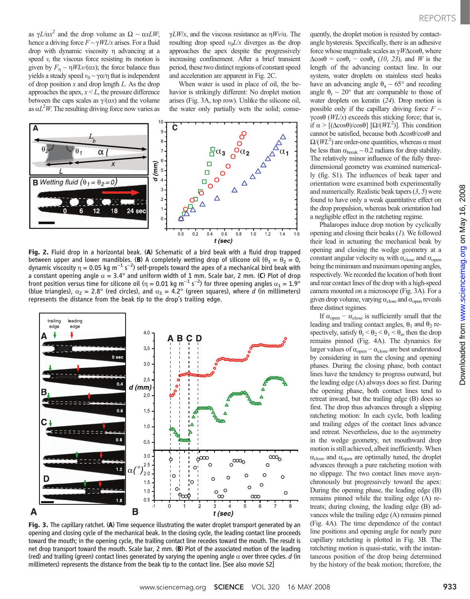as  $\gamma L/\alpha x^2$  and the drop volume as  $\Omega \sim \alpha x L W$ ;<br>hence a driving force  $E \sim \gamma W I/r$  grises. For a fluid hence a driving force  $F \sim \gamma W L/x$  arises. For a fluid drop with dynamic viscosity η advancing at a speed  $v$ , the viscous force resisting its motion is given by  $F_n \sim \eta W L \nu/(\alpha x)$ ; the force balance thus yields a steady speed  $v_0 \sim \gamma \alpha / \eta$  that is independent of drop position  $x$  and drop length  $L$ . As the drop approaches the apex,  $x \leq L$ , the pressure difference between the caps scales as  $\gamma/(\alpha x)$  and the volume as  $\alpha L^2 W$ . The resulting driving force now varies as

 $\gamma L W/x$ , and the viscous resistance as  $\eta W \nu/\alpha$ . The resulting drop speed  $v_0L/x$  diverges as the drop approaches the apex despite the progressively increasing confinement. After a brief transient period, these two distinct regions of constant speed and acceleration are apparent in Fig. 2C.

When water is used in place of oil, the behavior is strikingly different: No droplet motion arises (Fig. 3A, top row). Unlike the silicone oil, the water only partially wets the solid; conse-



Fig. 2. Fluid drop in a horizontal beak. (A) Schematic of a bird beak with a fluid drop trapped between upper and lower mandibles. (B) A completely wetting drop of silicone oil ( $\theta_1 = \theta_2 = 0$ , dynamic viscosity  $\eta = 0.05$  kg m<sup>-1</sup> s<sup>-2</sup>) self-propels toward the apex of a mechanical bird beak with a constant opening a constant opening angle  $\alpha = 3.4^{\circ}$  and uniform width of 1 mm. Scale bar, 2 mm. (C) Plot of drop<br>front position versus time for silicone oil (η = 0.01 kg m<sup>-1</sup> s<sup>-2</sup>) for three opening angles  $\alpha_1 = 1.9^{\circ}$ <br>(blue tri (blue triangles),  $\alpha_2 = 2.8^\circ$  (red circles), and  $\alpha_3 = 4.2^\circ$  (green squares), where d (in millimeters) represents the distance from the beak tip to the drop's trailing edge.



Fig. 3. The capillary ratchet. (A) Time sequence illustrating the water droplet transport generated by an opening and closing cycle of the mechanical beak. In the closing cycle, the leading contact line proceeds toward the mouth; in the opening cycle, the trailing contact line recedes toward the mouth. The result is net drop transport toward the mouth. Scale bar, 2 mm. (B) Plot of the associated motion of the leading (red) and trailing (green) contact lines generated by varying the opening angle  $\alpha$  over three cycles. d (in millimeters) represents the distance from the beak tip to the contact line. [See also movie S2]

quently, the droplet motion is resisted by contactangle hysteresis. Specifically, there is an adhesive force whose magnitude scales as  $\gamma W \Delta \cos \theta$ , where  $\Delta \cos\theta = \cos\theta_r - \cos\theta_a$  (10, 23), and W is the length of the advancing contact line. In our system, water droplets on stainless steel beaks have an advancing angle  $\theta_a \sim 65^\circ$  and receding angle  $\theta_r \sim 20^\circ$  that are comparable to those of water droplets on keratin (24). Drop motion is possible only if the capillary driving force  $F \sim$  $\gamma cos\theta$  (WL/x) exceeds this sticking force; that is, if  $\alpha > [(\Delta \cos \theta)/\cos \theta]$   $[\Omega/(WL^2)]$ . This condition<br>cannot be satisfied, because both  $\Delta \cos \theta / \cos \theta$  and cannot be satisfied, because both  $\Delta \cos \theta / \cos \theta$  and  $\Omega(WL^2)$  are order-one quantities, whereas  $\alpha$  must<br>be less than  $\alpha_{\text{max}} \approx 0.2$  radians for drop stability be less than  $\alpha_{break} \sim 0.2$  radians for drop stability. The relatively minor influence of the fully threedimensional geometry was examined numerically (fig. S1). The influences of beak taper and orientation were examined both experimentally and numerically. Realistic beak tapers  $(3, 5)$  were found to have only a weak quantitative effect on the drop propulsion, whereas beak orientation had a negligible effect in the ratcheting regime.

Phalaropes induce drop motion by cyclically opening and closing their beaks  $(1)$ . We followed their lead in actuating the mechanical beak by opening and closing the wedge geometry at a constant angular velocity  $\omega$ , with  $\alpha_{\text{close}}$  and  $\alpha_{\text{open}}$ being the minimum and maximum opening angles, respectively. We recorded the location of both front and rear contact lines of the drop with a high-speed camera mounted on a microscope (Fig. 3A). For a given drop volume, varying  $\alpha_{\text{close}}$  and  $\alpha_{\text{open}}$  reveals three distinct regimes.

If  $\alpha_{open} - \alpha_{close}$  is sufficiently small that the leading and trailing contact angles,  $\theta_1$  and  $\theta_2$  respectively, satisfy  $\theta_r < \theta_2 < \theta_1 < \theta_a$ , then the drop remains pinned (Fig. 4A). The dynamics for larger values of  $\alpha_{\rm open} - \alpha_{\rm close}$  are best understood by considering in turn the closing and opening phases. During the closing phase, both contact lines have the tendency to progress outward, but the leading edge (A) always does so first. During the opening phase, both contact lines tend to retreat inward, but the trailing edge (B) does so first. The drop thus advances through a slipping ratcheting motion: In each cycle, both leading and trailing edges of the contact lines advance and retreat. Nevertheless, due to the asymmetry in the wedge geometry, net mouthward drop motion is still achieved, albeit inefficiently. When  $\alpha_{\text{close}}$  and  $\alpha_{\text{open}}$  are optimally tuned, the droplet advances through a pure ratcheting motion with no slippage. The two contact lines move asynchronously but progressively toward the apex: During the opening phase, the leading edge (B) remains pinned while the trailing edge (A) retreats; during closing, the leading edge (B) advances while the trailing edge (A) remains pinned (Fig. 4A). The time dependence of the contact line positions and opening angle for nearly pure capillary ratcheting is plotted in Fig. 3B. The ratcheting motion is quasi-static, with the instantaneous position of the drop being determined by the history of the beak motion; therefore, the